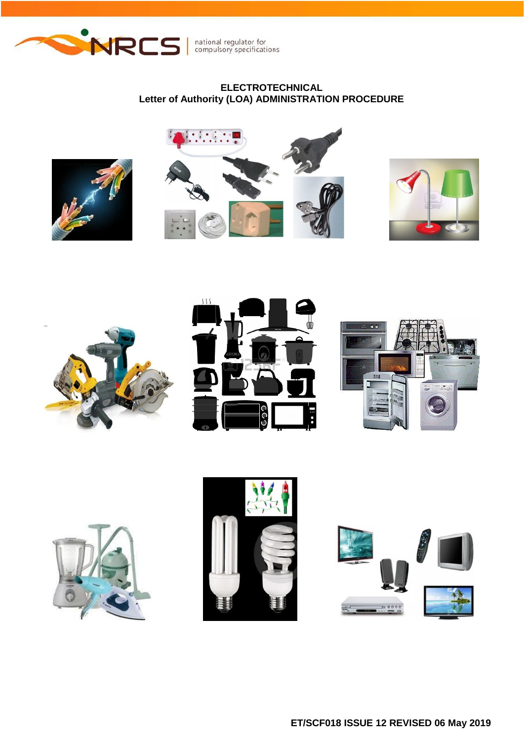

national regulator for<br>compulsory specifications

# **ELECTROTECHNICAL Letter of Authority (LOA) ADMINISTRATION PROCEDURE**

















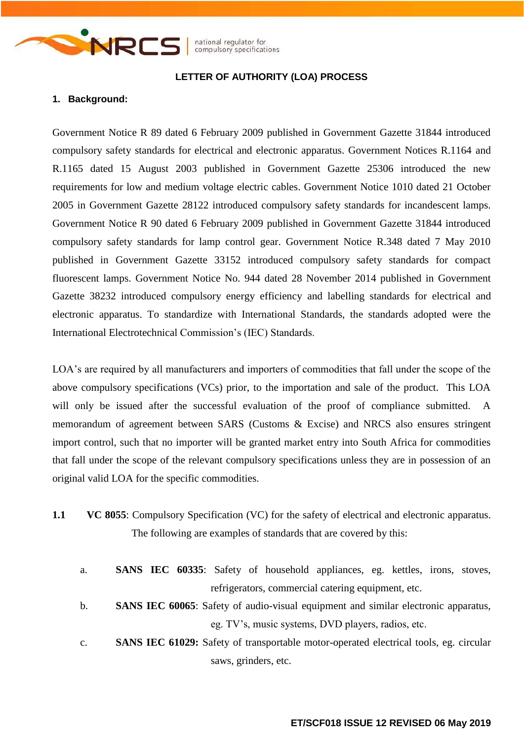

# **LETTER OF AUTHORITY (LOA) PROCESS**

#### **1. Background:**

Government Notice R 89 dated 6 February 2009 published in Government Gazette 31844 introduced compulsory safety standards for electrical and electronic apparatus. Government Notices R.1164 and R.1165 dated 15 August 2003 published in Government Gazette 25306 introduced the new requirements for low and medium voltage electric cables. Government Notice 1010 dated 21 October 2005 in Government Gazette 28122 introduced compulsory safety standards for incandescent lamps. Government Notice R 90 dated 6 February 2009 published in Government Gazette 31844 introduced compulsory safety standards for lamp control gear. Government Notice R.348 dated 7 May 2010 published in Government Gazette 33152 introduced compulsory safety standards for compact fluorescent lamps. Government Notice No. 944 dated 28 November 2014 published in Government Gazette 38232 introduced compulsory energy efficiency and labelling standards for electrical and electronic apparatus. To standardize with International Standards, the standards adopted were the International Electrotechnical Commission's (IEC) Standards.

LOA's are required by all manufacturers and importers of commodities that fall under the scope of the above compulsory specifications (VCs) prior, to the importation and sale of the product. This LOA will only be issued after the successful evaluation of the proof of compliance submitted. A memorandum of agreement between SARS (Customs & Excise) and NRCS also ensures stringent import control, such that no importer will be granted market entry into South Africa for commodities that fall under the scope of the relevant compulsory specifications unless they are in possession of an original valid LOA for the specific commodities.

- **1.1 VC 8055**: Compulsory Specification (VC) for the safety of electrical and electronic apparatus. The following are examples of standards that are covered by this:
	- a. **SANS IEC 60335**: Safety of household appliances, eg. kettles, irons, stoves, refrigerators, commercial catering equipment, etc.
	- b. **SANS IEC 60065**: Safety of audio-visual equipment and similar electronic apparatus, eg. TV's, music systems, DVD players, radios, etc.
	- c. **SANS IEC 61029:** Safety of transportable motor-operated electrical tools, eg. circular saws, grinders, etc.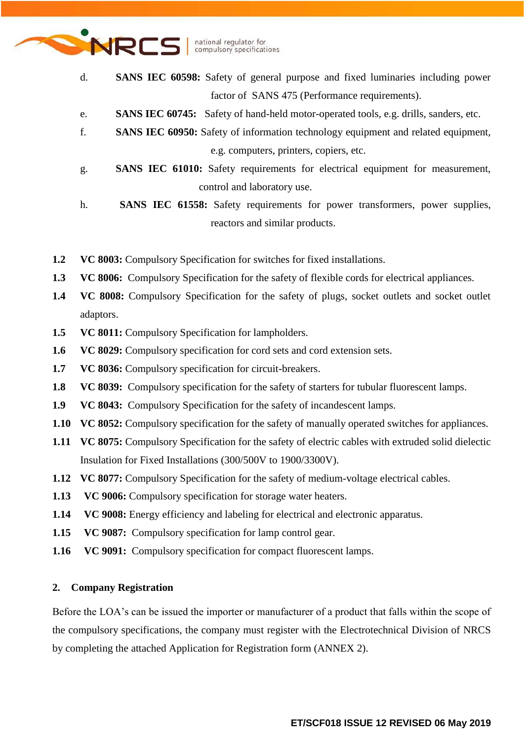

- d. **SANS IEC 60598:** Safety of general purpose and fixed luminaries including power factor of SANS 475 (Performance requirements).
- e. **SANS IEC 60745:** Safety of hand-held motor-operated tools, e.g. drills, sanders, etc.
- f. **SANS IEC 60950:** Safety of information technology equipment and related equipment, e.g. computers, printers, copiers, etc.
- g. **SANS IEC 61010:** Safety requirements for electrical equipment for measurement, control and laboratory use.
- h. **SANS IEC 61558:** Safety requirements for power transformers, power supplies, reactors and similar products.
- **1.2 VC 8003:** Compulsory Specification for switches for fixed installations.
- **1.3 VC 8006:** Compulsory Specification for the safety of flexible cords for electrical appliances.
- **1.4 VC 8008:** Compulsory Specification for the safety of plugs, socket outlets and socket outlet adaptors.
- **1.5 VC 8011:** Compulsory Specification for lampholders.
- **1.6 VC 8029:** Compulsory specification for cord sets and cord extension sets.
- **1.7 VC 8036:** Compulsory specification for circuit-breakers.
- **1.8 VC 8039:** Compulsory specification for the safety of starters for tubular fluorescent lamps.
- **1.9 VC 8043:** Compulsory Specification for the safety of incandescent lamps.
- **1.10 VC 8052:** Compulsory specification for the safety of manually operated switches for appliances.
- **1.11 VC 8075:** Compulsory Specification for the safety of electric cables with extruded solid dielectic Insulation for Fixed Installations (300/500V to 1900/3300V).
- **1.12 VC 8077:** Compulsory Specification for the safety of medium-voltage electrical cables.
- **1.13 VC 9006:** Compulsory specification for storage water heaters.
- **1.14 VC 9008:** Energy efficiency and labeling for electrical and electronic apparatus.
- **1.15 VC 9087:** Compulsory specification for lamp control gear.
- **1.16 VC 9091:** Compulsory specification for compact fluorescent lamps.

# **2. Company Registration**

Before the LOA's can be issued the importer or manufacturer of a product that falls within the scope of the compulsory specifications, the company must register with the Electrotechnical Division of NRCS by completing the attached Application for Registration form (ANNEX 2).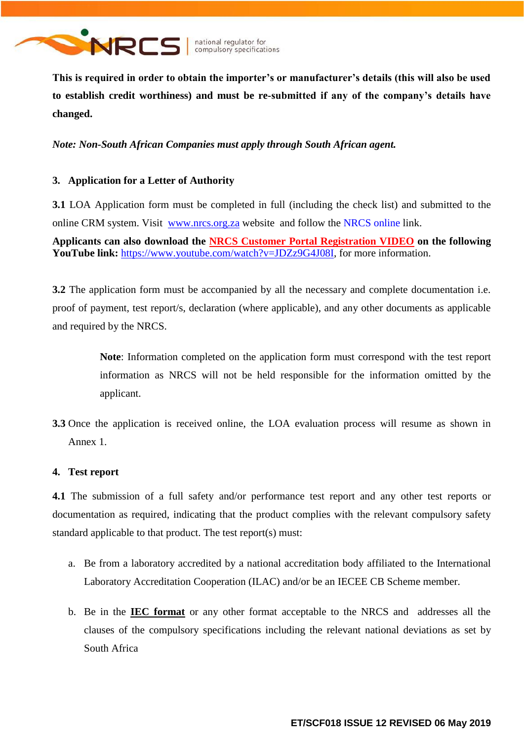

**This is required in order to obtain the importer's or manufacturer's details (this will also be used to establish credit worthiness) and must be re-submitted if any of the company's details have changed.**

*Note: Non-South African Companies must apply through South African agent.*

# **3. Application for a Letter of Authority**

**3.1** LOA Application form must be completed in full (including the check list) and submitted to the online CRM system. Visit [www.nrcs.org.za](http://www.nrcs.org.za/) website and follow the NRCS online link.

**Applicants can also download the NRCS Customer Portal Registration VIDEO on the following YouTube link:** [https://www.youtube.com/watch?v=JDZz9G4J08I,](https://www.youtube.com/watch?v=JDZz9G4J08I) for more information.

**3.2** The application form must be accompanied by all the necessary and complete documentation i.e. proof of payment, test report/s, declaration (where applicable), and any other documents as applicable and required by the NRCS.

> **Note**: Information completed on the application form must correspond with the test report information as NRCS will not be held responsible for the information omitted by the applicant.

**3.3** Once the application is received online, the LOA evaluation process will resume as shown in Annex 1.

# **4. Test report**

**4.1** The submission of a full safety and/or performance test report and any other test reports or documentation as required, indicating that the product complies with the relevant compulsory safety standard applicable to that product. The test report(s) must:

- a. Be from a laboratory accredited by a national accreditation body affiliated to the International Laboratory Accreditation Cooperation (ILAC) and/or be an IECEE CB Scheme member.
- b. Be in the **IEC format** or any other format acceptable to the NRCS and addresses all the clauses of the compulsory specifications including the relevant national deviations as set by South Africa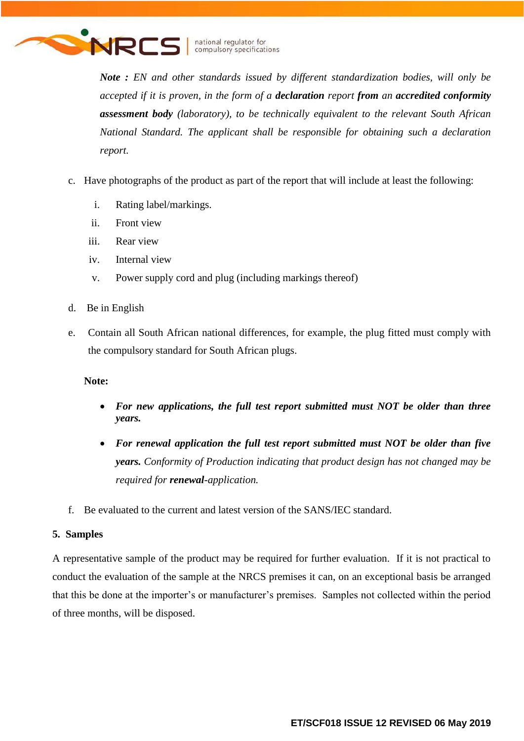

*Note : EN and other standards issued by different standardization bodies, will only be accepted if it is proven, in the form of a declaration report from an accredited conformity assessment body (laboratory), to be technically equivalent to the relevant South African National Standard. The applicant shall be responsible for obtaining such a declaration report.*

- c. Have photographs of the product as part of the report that will include at least the following:
	- i. Rating label/markings.
	- ii. Front view
	- iii. Rear view
	- iv. Internal view
	- v. Power supply cord and plug (including markings thereof)
- d. Be in English
- e. Contain all South African national differences, for example, the plug fitted must comply with the compulsory standard for South African plugs.

# **Note:**

- *For new applications, the full test report submitted must NOT be older than three years.*
- *For renewal application the full test report submitted must NOT be older than five years. Conformity of Production indicating that product design has not changed may be required for renewal-application.*
- f. Be evaluated to the current and latest version of the SANS/IEC standard.

# **5. Samples**

A representative sample of the product may be required for further evaluation. If it is not practical to conduct the evaluation of the sample at the NRCS premises it can, on an exceptional basis be arranged that this be done at the importer's or manufacturer's premises. Samples not collected within the period of three months, will be disposed.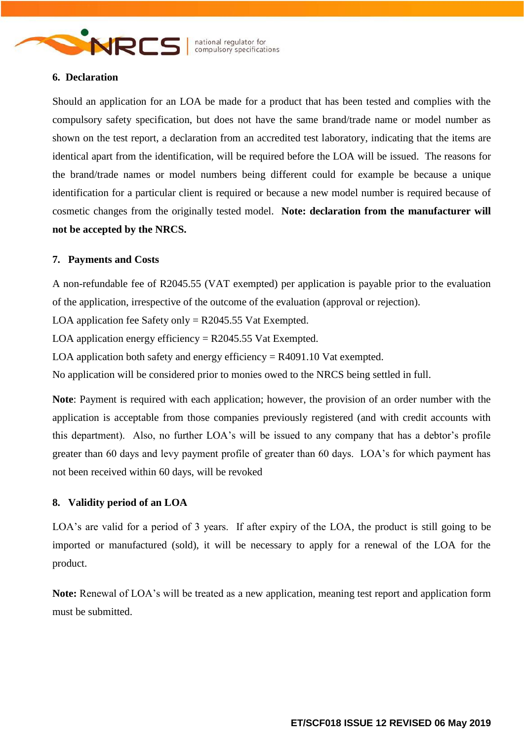

### **6. Declaration**

Should an application for an LOA be made for a product that has been tested and complies with the compulsory safety specification, but does not have the same brand/trade name or model number as shown on the test report, a declaration from an accredited test laboratory, indicating that the items are identical apart from the identification, will be required before the LOA will be issued. The reasons for the brand/trade names or model numbers being different could for example be because a unique identification for a particular client is required or because a new model number is required because of cosmetic changes from the originally tested model. **Note: declaration from the manufacturer will not be accepted by the NRCS.**

### **7. Payments and Costs**

A non-refundable fee of R2045.55 (VAT exempted) per application is payable prior to the evaluation of the application, irrespective of the outcome of the evaluation (approval or rejection).

LOA application fee Safety only  $=$  R2045.55 Vat Exempted.

LOA application energy efficiency  $=$  R2045.55 Vat Exempted.

LOA application both safety and energy efficiency  $=$  R4091.10 Vat exempted.

No application will be considered prior to monies owed to the NRCS being settled in full.

**Note**: Payment is required with each application; however, the provision of an order number with the application is acceptable from those companies previously registered (and with credit accounts with this department). Also, no further LOA's will be issued to any company that has a debtor's profile greater than 60 days and levy payment profile of greater than 60 days. LOA's for which payment has not been received within 60 days, will be revoked

### **8. Validity period of an LOA**

LOA's are valid for a period of 3 years. If after expiry of the LOA, the product is still going to be imported or manufactured (sold), it will be necessary to apply for a renewal of the LOA for the product.

**Note:** Renewal of LOA's will be treated as a new application, meaning test report and application form must be submitted.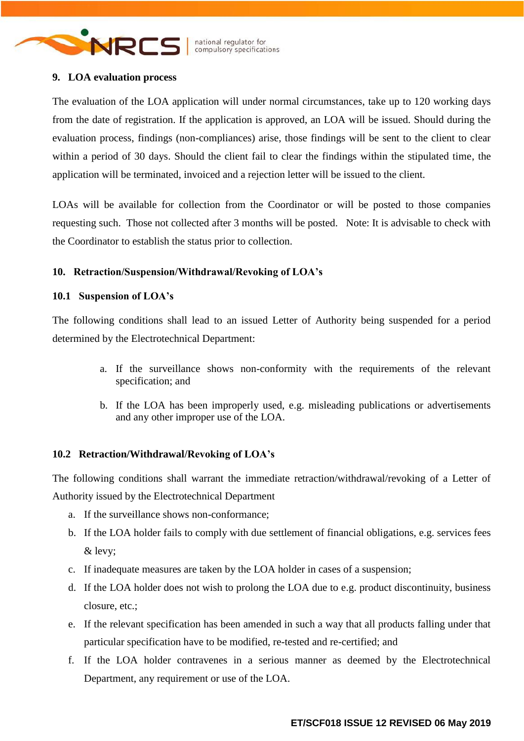

### **9. LOA evaluation process**

The evaluation of the LOA application will under normal circumstances, take up to 120 working days from the date of registration. If the application is approved, an LOA will be issued. Should during the evaluation process, findings (non-compliances) arise, those findings will be sent to the client to clear within a period of 30 days. Should the client fail to clear the findings within the stipulated time, the application will be terminated, invoiced and a rejection letter will be issued to the client.

LOAs will be available for collection from the Coordinator or will be posted to those companies requesting such. Those not collected after 3 months will be posted. Note: It is advisable to check with the Coordinator to establish the status prior to collection.

## **10. Retraction/Suspension/Withdrawal/Revoking of LOA's**

### **10.1 Suspension of LOA's**

The following conditions shall lead to an issued Letter of Authority being suspended for a period determined by the Electrotechnical Department:

- a. If the surveillance shows non-conformity with the requirements of the relevant specification; and
- b. If the LOA has been improperly used, e.g. misleading publications or advertisements and any other improper use of the LOA.

### **10.2 Retraction/Withdrawal/Revoking of LOA's**

The following conditions shall warrant the immediate retraction/withdrawal/revoking of a Letter of Authority issued by the Electrotechnical Department

- a. If the surveillance shows non-conformance;
- b. If the LOA holder fails to comply with due settlement of financial obligations, e.g. services fees & levy;
- c. If inadequate measures are taken by the LOA holder in cases of a suspension;
- d. If the LOA holder does not wish to prolong the LOA due to e.g. product discontinuity, business closure, etc.;
- e. If the relevant specification has been amended in such a way that all products falling under that particular specification have to be modified, re-tested and re-certified; and
- f. If the LOA holder contravenes in a serious manner as deemed by the Electrotechnical Department, any requirement or use of the LOA.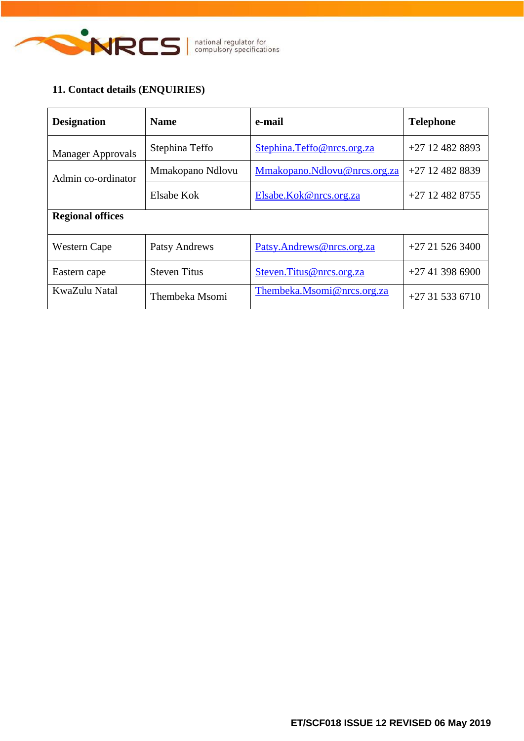

# **11. Contact details (ENQUIRIES)**

| <b>Designation</b>       | <b>Name</b>         | e-mail                       | <b>Telephone</b>  |  |  |
|--------------------------|---------------------|------------------------------|-------------------|--|--|
| <b>Manager Approvals</b> | Stephina Teffo      | Stephina.Teffo@nrcs.org.za   | $+27$ 12 482 8893 |  |  |
| Admin co-ordinator       | Mmakopano Ndlovu    | Mmakopano.Ndlovu@nrcs.org.za | $+27$ 12 482 8839 |  |  |
|                          | Elsabe Kok          | Elsabe.Kok@nrcs.org.za       | $+27$ 12 482 8755 |  |  |
| <b>Regional offices</b>  |                     |                              |                   |  |  |
| Western Cape             | Patsy Andrews       | Patsy.Andrews@nrcs.org.za    | $+27215263400$    |  |  |
| Eastern cape             | <b>Steven Titus</b> | Steven. Titus@nrcs.org.za    | $+27413986900$    |  |  |
| KwaZulu Natal            | Thembeka Msomi      | Thembeka.Msomi@nrcs.org.za   | $+27315336710$    |  |  |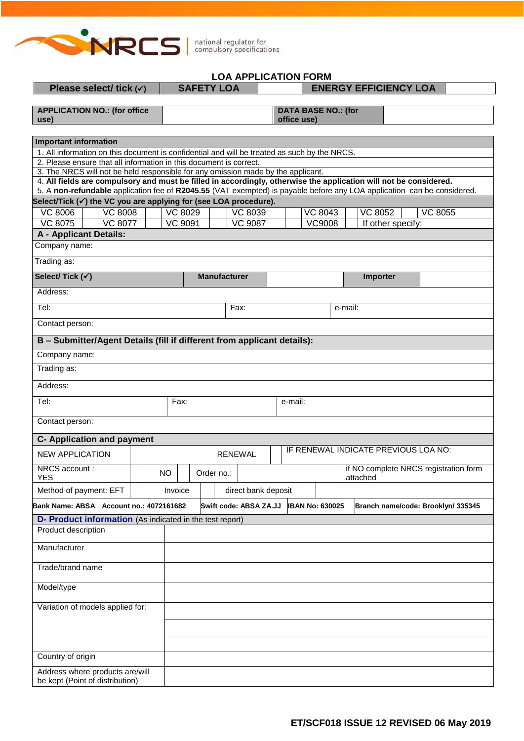

# **LOA APPLICATION FORM**

| Please select/ tick $(v)$                                                                                                                                                                             |                         |  |                                                        |           | <b>SAFETY LOA</b><br><b>ENERGY EFFICIENCY LOA</b> |                     |                                           |                        |  |         |                        |  |         |                                    |  |                                       |                       |  |  |  |
|-------------------------------------------------------------------------------------------------------------------------------------------------------------------------------------------------------|-------------------------|--|--------------------------------------------------------|-----------|---------------------------------------------------|---------------------|-------------------------------------------|------------------------|--|---------|------------------------|--|---------|------------------------------------|--|---------------------------------------|-----------------------|--|--|--|
| <b>APPLICATION NO.: (for office</b><br>use)                                                                                                                                                           |                         |  |                                                        |           |                                                   |                     | <b>DATA BASE NO.: (for</b><br>office use) |                        |  |         |                        |  |         |                                    |  |                                       |                       |  |  |  |
| <b>Important information</b>                                                                                                                                                                          |                         |  |                                                        |           |                                                   |                     |                                           |                        |  |         |                        |  |         |                                    |  |                                       |                       |  |  |  |
| 1. All information on this document is confidential and will be treated as such by the NRCS.                                                                                                          |                         |  |                                                        |           |                                                   |                     |                                           |                        |  |         |                        |  |         |                                    |  |                                       |                       |  |  |  |
| 2. Please ensure that all information in this document is correct.                                                                                                                                    |                         |  |                                                        |           |                                                   |                     |                                           |                        |  |         |                        |  |         |                                    |  |                                       |                       |  |  |  |
| 3. The NRCS will not be held responsible for any omission made by the applicant.<br>4. All fields are compulsory and must be filled in accordingly, otherwise the application will not be considered. |                         |  |                                                        |           |                                                   |                     |                                           |                        |  |         |                        |  |         |                                    |  |                                       |                       |  |  |  |
| 5. A non-refundable application fee of R2045.55 (VAT exempted) is payable before any LOA application can be considered.                                                                               |                         |  |                                                        |           |                                                   |                     |                                           |                        |  |         |                        |  |         |                                    |  |                                       |                       |  |  |  |
| Select/Tick (√) the VC you are applying for (see LOA procedure).                                                                                                                                      |                         |  |                                                        |           |                                                   |                     |                                           |                        |  |         |                        |  |         |                                    |  |                                       |                       |  |  |  |
| <b>VC 8006</b>                                                                                                                                                                                        | <b>VC 8008</b>          |  |                                                        |           | VC 8029                                           |                     |                                           | <b>VC 8039</b>         |  |         | <b>VC 8043</b>         |  |         | <b>VC 8052</b>                     |  |                                       | $\overline{V}$ C 8055 |  |  |  |
| <b>VC 8075</b>                                                                                                                                                                                        | <b>VC 8077</b>          |  |                                                        |           | <b>VC 9091</b>                                    |                     |                                           | <b>VC 9087</b>         |  |         | <b>VC9008</b>          |  |         | If other specify:                  |  |                                       |                       |  |  |  |
| <b>A - Applicant Details:</b>                                                                                                                                                                         |                         |  |                                                        |           |                                                   |                     |                                           |                        |  |         |                        |  |         |                                    |  |                                       |                       |  |  |  |
| Company name:                                                                                                                                                                                         |                         |  |                                                        |           |                                                   |                     |                                           |                        |  |         |                        |  |         |                                    |  |                                       |                       |  |  |  |
| Trading as:                                                                                                                                                                                           |                         |  |                                                        |           |                                                   |                     |                                           |                        |  |         |                        |  |         |                                    |  |                                       |                       |  |  |  |
| Select/Tick (v)                                                                                                                                                                                       |                         |  |                                                        |           |                                                   | <b>Manufacturer</b> |                                           |                        |  |         |                        |  |         | Importer                           |  |                                       |                       |  |  |  |
| Address:                                                                                                                                                                                              |                         |  |                                                        |           |                                                   |                     |                                           |                        |  |         |                        |  |         |                                    |  |                                       |                       |  |  |  |
| Tel:                                                                                                                                                                                                  |                         |  |                                                        |           |                                                   |                     | Fax:                                      |                        |  |         |                        |  | e-mail: |                                    |  |                                       |                       |  |  |  |
| Contact person:                                                                                                                                                                                       |                         |  |                                                        |           |                                                   |                     |                                           |                        |  |         |                        |  |         |                                    |  |                                       |                       |  |  |  |
| B - Submitter/Agent Details (fill if different from applicant details):                                                                                                                               |                         |  |                                                        |           |                                                   |                     |                                           |                        |  |         |                        |  |         |                                    |  |                                       |                       |  |  |  |
| Company name:                                                                                                                                                                                         |                         |  |                                                        |           |                                                   |                     |                                           |                        |  |         |                        |  |         |                                    |  |                                       |                       |  |  |  |
| Trading as:                                                                                                                                                                                           |                         |  |                                                        |           |                                                   |                     |                                           |                        |  |         |                        |  |         |                                    |  |                                       |                       |  |  |  |
| Address:                                                                                                                                                                                              |                         |  |                                                        |           |                                                   |                     |                                           |                        |  |         |                        |  |         |                                    |  |                                       |                       |  |  |  |
| Tel:                                                                                                                                                                                                  |                         |  |                                                        | Fax:      |                                                   |                     |                                           |                        |  | e-mail: |                        |  |         |                                    |  |                                       |                       |  |  |  |
| Contact person:                                                                                                                                                                                       |                         |  |                                                        |           |                                                   |                     |                                           |                        |  |         |                        |  |         |                                    |  |                                       |                       |  |  |  |
| <b>C- Application and payment</b>                                                                                                                                                                     |                         |  |                                                        |           |                                                   |                     |                                           |                        |  |         |                        |  |         |                                    |  |                                       |                       |  |  |  |
| <b>NEW APPLICATION</b>                                                                                                                                                                                |                         |  | IF RENEWAL INDICATE PREVIOUS LOA NO:<br><b>RENEWAL</b> |           |                                                   |                     |                                           |                        |  |         |                        |  |         |                                    |  |                                       |                       |  |  |  |
| NRCS account:<br>YES                                                                                                                                                                                  |                         |  |                                                        | <b>NO</b> |                                                   | Order no.:          |                                           |                        |  |         |                        |  |         | attached                           |  | if NO complete NRCS registration form |                       |  |  |  |
| Method of payment: EFT                                                                                                                                                                                |                         |  |                                                        | Invoice   |                                                   |                     |                                           | direct bank deposit    |  |         |                        |  |         |                                    |  |                                       |                       |  |  |  |
| <b>Bank Name: ABSA</b>                                                                                                                                                                                | Account no.: 4072161682 |  |                                                        |           |                                                   |                     |                                           | Swift code: ABSA ZA.JJ |  |         | <b>IBAN No: 630025</b> |  |         | Branch name/code: Brooklyn/ 335345 |  |                                       |                       |  |  |  |
| <b>D- Product information</b> (As indicated in the test report)                                                                                                                                       |                         |  |                                                        |           |                                                   |                     |                                           |                        |  |         |                        |  |         |                                    |  |                                       |                       |  |  |  |
| Product description                                                                                                                                                                                   |                         |  |                                                        |           |                                                   |                     |                                           |                        |  |         |                        |  |         |                                    |  |                                       |                       |  |  |  |
| Manufacturer                                                                                                                                                                                          |                         |  |                                                        |           |                                                   |                     |                                           |                        |  |         |                        |  |         |                                    |  |                                       |                       |  |  |  |
| Trade/brand name                                                                                                                                                                                      |                         |  |                                                        |           |                                                   |                     |                                           |                        |  |         |                        |  |         |                                    |  |                                       |                       |  |  |  |
| Model/type                                                                                                                                                                                            |                         |  |                                                        |           |                                                   |                     |                                           |                        |  |         |                        |  |         |                                    |  |                                       |                       |  |  |  |
| Variation of models applied for:                                                                                                                                                                      |                         |  |                                                        |           |                                                   |                     |                                           |                        |  |         |                        |  |         |                                    |  |                                       |                       |  |  |  |
|                                                                                                                                                                                                       |                         |  |                                                        |           |                                                   |                     |                                           |                        |  |         |                        |  |         |                                    |  |                                       |                       |  |  |  |
|                                                                                                                                                                                                       |                         |  |                                                        |           |                                                   |                     |                                           |                        |  |         |                        |  |         |                                    |  |                                       |                       |  |  |  |
| Country of origin                                                                                                                                                                                     |                         |  |                                                        |           |                                                   |                     |                                           |                        |  |         |                        |  |         |                                    |  |                                       |                       |  |  |  |
| Address where products are/will                                                                                                                                                                       |                         |  |                                                        |           |                                                   |                     |                                           |                        |  |         |                        |  |         |                                    |  |                                       |                       |  |  |  |
| be kept (Point of distribution)                                                                                                                                                                       |                         |  |                                                        |           |                                                   |                     |                                           |                        |  |         |                        |  |         |                                    |  |                                       |                       |  |  |  |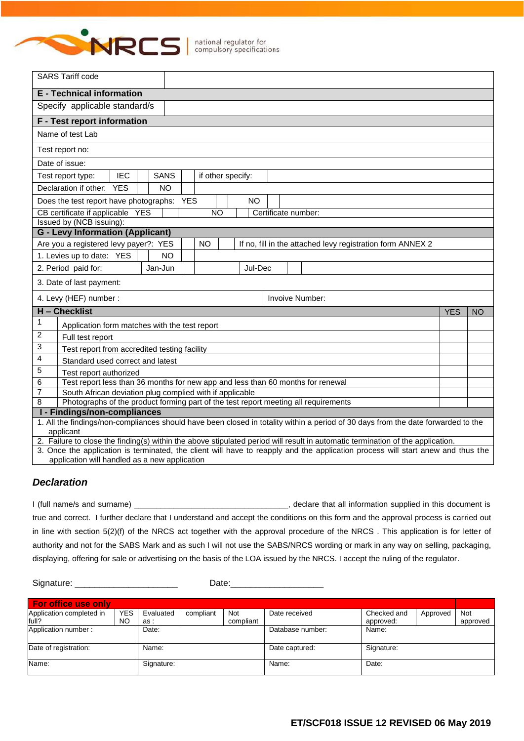

|                                                                                                                                 | <b>SARS Tariff code</b>                                                                                                           |  |  |           |  |           |  |  |           |  |                     |  |  |  |                                                            |  |
|---------------------------------------------------------------------------------------------------------------------------------|-----------------------------------------------------------------------------------------------------------------------------------|--|--|-----------|--|-----------|--|--|-----------|--|---------------------|--|--|--|------------------------------------------------------------|--|
|                                                                                                                                 | <b>E</b> - Technical information                                                                                                  |  |  |           |  |           |  |  |           |  |                     |  |  |  |                                                            |  |
|                                                                                                                                 | Specify applicable standard/s                                                                                                     |  |  |           |  |           |  |  |           |  |                     |  |  |  |                                                            |  |
|                                                                                                                                 | F - Test report information                                                                                                       |  |  |           |  |           |  |  |           |  |                     |  |  |  |                                                            |  |
|                                                                                                                                 | Name of test Lab                                                                                                                  |  |  |           |  |           |  |  |           |  |                     |  |  |  |                                                            |  |
|                                                                                                                                 | Test report no:                                                                                                                   |  |  |           |  |           |  |  |           |  |                     |  |  |  |                                                            |  |
|                                                                                                                                 | Date of issue:                                                                                                                    |  |  |           |  |           |  |  |           |  |                     |  |  |  |                                                            |  |
|                                                                                                                                 | <b>IEC</b><br><b>SANS</b><br>Test report type:<br>if other specify:                                                               |  |  |           |  |           |  |  |           |  |                     |  |  |  |                                                            |  |
|                                                                                                                                 | Declaration if other: YES                                                                                                         |  |  | <b>NO</b> |  |           |  |  |           |  |                     |  |  |  |                                                            |  |
|                                                                                                                                 | Does the test report have photographs: YES                                                                                        |  |  |           |  |           |  |  | <b>NO</b> |  |                     |  |  |  |                                                            |  |
|                                                                                                                                 | CB certificate if applicable YES                                                                                                  |  |  |           |  | <b>NO</b> |  |  |           |  | Certificate number: |  |  |  |                                                            |  |
|                                                                                                                                 | Issued by (NCB issuing):                                                                                                          |  |  |           |  |           |  |  |           |  |                     |  |  |  |                                                            |  |
|                                                                                                                                 | <b>G</b> - Levy Information (Applicant)                                                                                           |  |  |           |  |           |  |  |           |  |                     |  |  |  |                                                            |  |
|                                                                                                                                 | Are you a registered levy payer?: YES                                                                                             |  |  |           |  | NO.       |  |  |           |  |                     |  |  |  | If no, fill in the attached levy registration form ANNEX 2 |  |
|                                                                                                                                 | 1. Levies up to date: YES                                                                                                         |  |  | <b>NO</b> |  |           |  |  |           |  |                     |  |  |  |                                                            |  |
|                                                                                                                                 | 2. Period paid for:                                                                                                               |  |  | Jan-Jun   |  |           |  |  | Jul-Dec   |  |                     |  |  |  |                                                            |  |
| 3. Date of last payment:                                                                                                        |                                                                                                                                   |  |  |           |  |           |  |  |           |  |                     |  |  |  |                                                            |  |
| 4. Levy (HEF) number :<br><b>Invoive Number:</b>                                                                                |                                                                                                                                   |  |  |           |  |           |  |  |           |  |                     |  |  |  |                                                            |  |
| H - Checklist<br><b>YES</b><br><b>NO</b>                                                                                        |                                                                                                                                   |  |  |           |  |           |  |  |           |  |                     |  |  |  |                                                            |  |
| 1                                                                                                                               | Application form matches with the test report                                                                                     |  |  |           |  |           |  |  |           |  |                     |  |  |  |                                                            |  |
| $\overline{2}$                                                                                                                  | Full test report                                                                                                                  |  |  |           |  |           |  |  |           |  |                     |  |  |  |                                                            |  |
| $\ensuremath{\mathsf{3}}$                                                                                                       | Test report from accredited testing facility                                                                                      |  |  |           |  |           |  |  |           |  |                     |  |  |  |                                                            |  |
| $\overline{\mathbf{4}}$                                                                                                         | Standard used correct and latest                                                                                                  |  |  |           |  |           |  |  |           |  |                     |  |  |  |                                                            |  |
| 5<br>Test report authorized                                                                                                     |                                                                                                                                   |  |  |           |  |           |  |  |           |  |                     |  |  |  |                                                            |  |
| Test report less than 36 months for new app and less than 60 months for renewal<br>6                                            |                                                                                                                                   |  |  |           |  |           |  |  |           |  |                     |  |  |  |                                                            |  |
| $\overline{7}$<br>South African deviation plug complied with if applicable                                                      |                                                                                                                                   |  |  |           |  |           |  |  |           |  |                     |  |  |  |                                                            |  |
| Photographs of the product forming part of the test report meeting all requirements<br>8<br>I - Findings/non-compliances        |                                                                                                                                   |  |  |           |  |           |  |  |           |  |                     |  |  |  |                                                            |  |
|                                                                                                                                 | 1. All the findings/non-compliances should have been closed in totality within a period of 30 days from the date forwarded to the |  |  |           |  |           |  |  |           |  |                     |  |  |  |                                                            |  |
|                                                                                                                                 | applicant                                                                                                                         |  |  |           |  |           |  |  |           |  |                     |  |  |  |                                                            |  |
| 2. Failure to close the finding(s) within the above stipulated period will result in automatic termination of the application.  |                                                                                                                                   |  |  |           |  |           |  |  |           |  |                     |  |  |  |                                                            |  |
| 3. Once the application is terminated, the client will have to reapply and the application process will start anew and thus the |                                                                                                                                   |  |  |           |  |           |  |  |           |  |                     |  |  |  |                                                            |  |
|                                                                                                                                 | application will handled as a new application                                                                                     |  |  |           |  |           |  |  |           |  |                     |  |  |  |                                                            |  |

#### *Declaration*

I (full name/s and surname) \_\_\_\_\_\_\_\_\_\_\_\_\_\_\_\_\_\_\_\_\_\_\_\_\_\_\_\_\_\_\_\_\_\_, declare that all information supplied in this document is true and correct. I further declare that I understand and accept the conditions on this form and the approval process is carried out in line with section 5(2)(f) of the NRCS act together with the approval procedure of the NRCS . This application is for letter of authority and not for the SABS Mark and as such I will not use the SABS/NRCS wording or mark in any way on selling, packaging, displaying, offering for sale or advertising on the basis of the LOA issued by the NRCS. I accept the ruling of the regulator.

Signature: \_\_\_\_\_\_\_\_\_\_\_\_\_\_\_\_\_\_\_\_\_\_\_\_\_\_\_\_\_\_\_\_\_Date:

| <b>For office use only</b> |            |            |           |           |                  |             |          |            |  |  |  |
|----------------------------|------------|------------|-----------|-----------|------------------|-------------|----------|------------|--|--|--|
| Application completed in   | <b>YES</b> | Evaluated  | compliant | Not       | Date received    | Checked and | Approved | <b>Not</b> |  |  |  |
| full?                      | NO         | as :       |           | compliant |                  | approved:   |          | approved   |  |  |  |
| Application number:        |            | Date:      |           |           | Database number: | Name:       |          |            |  |  |  |
| Date of registration:      |            | Name:      |           |           | Date captured:   | Signature:  |          |            |  |  |  |
| Name:                      |            | Signature: |           |           | Name:            | Date:       |          |            |  |  |  |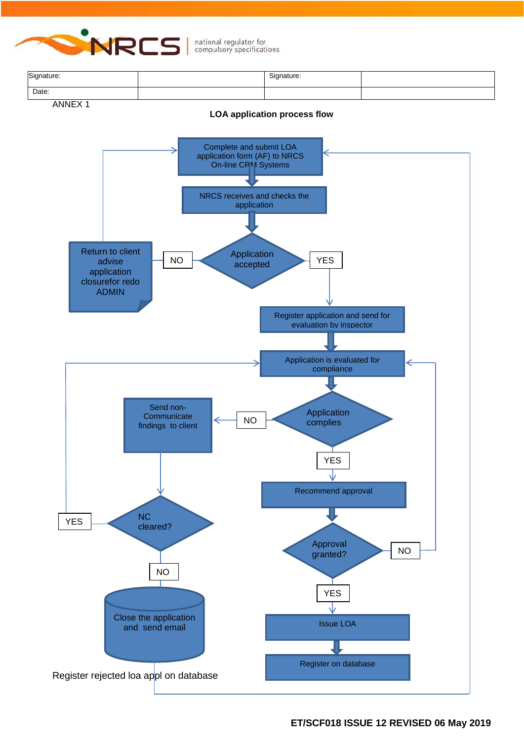

| Signature: | Signature: |  |
|------------|------------|--|
| Date:      |            |  |

ANNEX 1

#### **LOA application process flow**

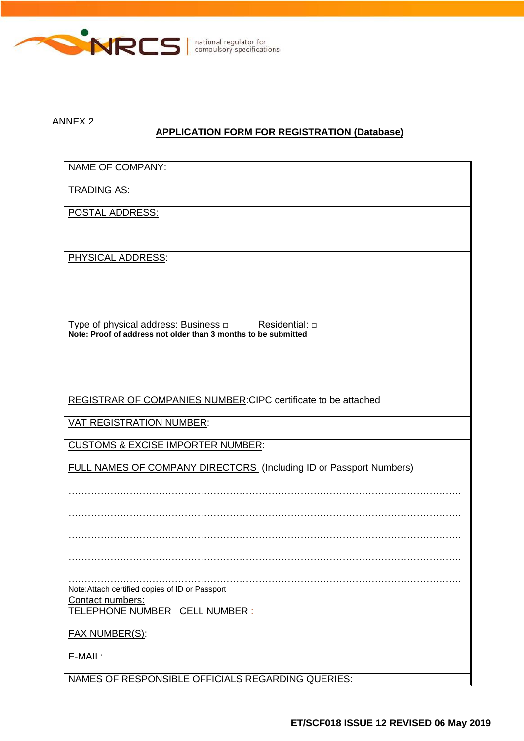

ANNEX 2

# **APPLICATION FORM FOR REGISTRATION (Database)**

| NAME OF COMPANY:                                                    |
|---------------------------------------------------------------------|
| <b>TRADING AS:</b>                                                  |
| POSTAL ADDRESS:                                                     |
|                                                                     |
| PHYSICAL ADDRESS:                                                   |
|                                                                     |
|                                                                     |
| Type of physical address: Business $\Box$<br>Residential: $\square$ |
| Note: Proof of address not older than 3 months to be submitted      |
|                                                                     |
|                                                                     |
| REGISTRAR OF COMPANIES NUMBER: CIPC certificate to be attached      |
| <b>VAT REGISTRATION NUMBER:</b>                                     |
| <b>CUSTOMS &amp; EXCISE IMPORTER NUMBER:</b>                        |
| FULL NAMES OF COMPANY DIRECTORS (Including ID or Passport Numbers)  |
|                                                                     |
|                                                                     |
|                                                                     |
|                                                                     |
|                                                                     |
| Note: Attach certified copies of ID or Passport                     |
| Contact numbers:<br>TELEPHONE NUMBER CELL NUMBER :                  |
| FAX NUMBER(S):                                                      |
| E-MAIL:                                                             |
| NAMES OF RESPONSIBLE OFFICIALS REGARDING QUERIES:                   |